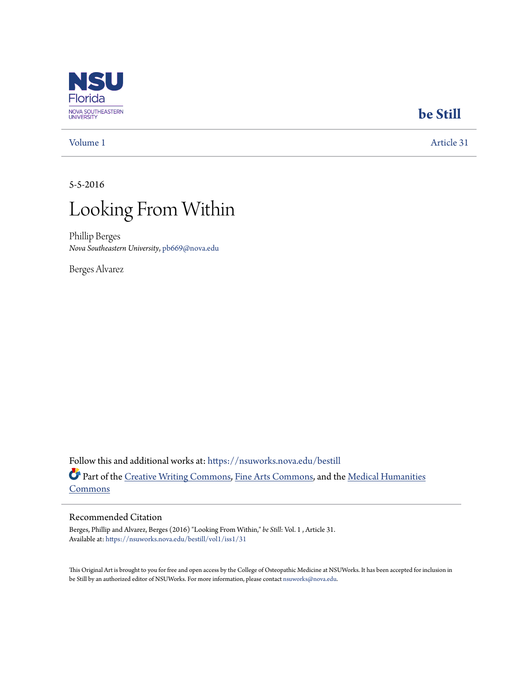

## **[be Still](https://nsuworks.nova.edu/bestill?utm_source=nsuworks.nova.edu%2Fbestill%2Fvol1%2Fiss1%2F31&utm_medium=PDF&utm_campaign=PDFCoverPages)**

[Volume 1](https://nsuworks.nova.edu/bestill/vol1?utm_source=nsuworks.nova.edu%2Fbestill%2Fvol1%2Fiss1%2F31&utm_medium=PDF&utm_campaign=PDFCoverPages) [Article 31](https://nsuworks.nova.edu/bestill/vol1/iss1/31?utm_source=nsuworks.nova.edu%2Fbestill%2Fvol1%2Fiss1%2F31&utm_medium=PDF&utm_campaign=PDFCoverPages)

5-5-2016



Phillip Berges *Nova Southeastern University*, pb669@nova.edu

Berges Alvarez

Follow this and additional works at: [https://nsuworks.nova.edu/bestill](https://nsuworks.nova.edu/bestill?utm_source=nsuworks.nova.edu%2Fbestill%2Fvol1%2Fiss1%2F31&utm_medium=PDF&utm_campaign=PDFCoverPages) Part of the [Creative Writing Commons](http://network.bepress.com/hgg/discipline/574?utm_source=nsuworks.nova.edu%2Fbestill%2Fvol1%2Fiss1%2F31&utm_medium=PDF&utm_campaign=PDFCoverPages), [Fine Arts Commons,](http://network.bepress.com/hgg/discipline/1141?utm_source=nsuworks.nova.edu%2Fbestill%2Fvol1%2Fiss1%2F31&utm_medium=PDF&utm_campaign=PDFCoverPages) and the [Medical Humanities](http://network.bepress.com/hgg/discipline/1303?utm_source=nsuworks.nova.edu%2Fbestill%2Fvol1%2Fiss1%2F31&utm_medium=PDF&utm_campaign=PDFCoverPages) [Commons](http://network.bepress.com/hgg/discipline/1303?utm_source=nsuworks.nova.edu%2Fbestill%2Fvol1%2Fiss1%2F31&utm_medium=PDF&utm_campaign=PDFCoverPages)

## Recommended Citation

Berges, Phillip and Alvarez, Berges (2016) "Looking From Within," *be Still*: Vol. 1 , Article 31. Available at: [https://nsuworks.nova.edu/bestill/vol1/iss1/31](https://nsuworks.nova.edu/bestill/vol1/iss1/31?utm_source=nsuworks.nova.edu%2Fbestill%2Fvol1%2Fiss1%2F31&utm_medium=PDF&utm_campaign=PDFCoverPages)

This Original Art is brought to you for free and open access by the College of Osteopathic Medicine at NSUWorks. It has been accepted for inclusion in be Still by an authorized editor of NSUWorks. For more information, please contact [nsuworks@nova.edu](mailto:nsuworks@nova.edu).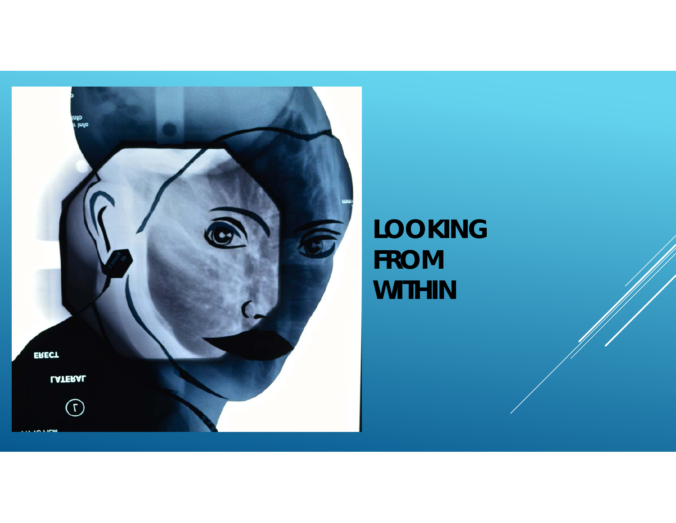

*LOOKING FROM WITHIN*